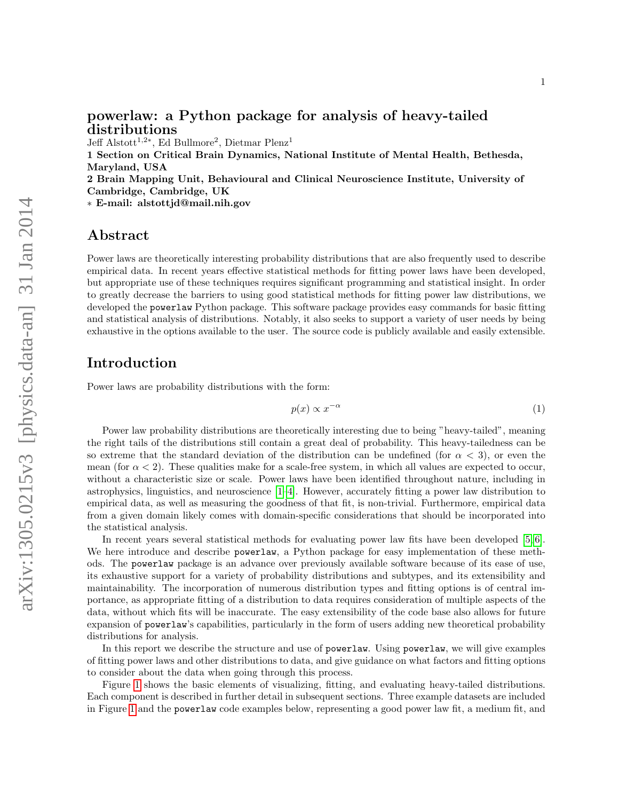# powerlaw: a Python package for analysis of heavy-tailed distributions Jeff Alstott<sup>1,2∗</sup>, Ed Bullmore<sup>2</sup>, Dietmar Plenz<sup>1</sup>

1 Section on Critical Brain Dynamics, National Institute of Mental Health, Bethesda, Maryland, USA

2 Brain Mapping Unit, Behavioural and Clinical Neuroscience Institute, University of Cambridge, Cambridge, UK

∗ E-mail: alstottjd@mail.nih.gov

## Abstract

Power laws are theoretically interesting probability distributions that are also frequently used to describe empirical data. In recent years effective statistical methods for fitting power laws have been developed, but appropriate use of these techniques requires significant programming and statistical insight. In order to greatly decrease the barriers to using good statistical methods for fitting power law distributions, we developed the powerlaw Python package. This software package provides easy commands for basic fitting and statistical analysis of distributions. Notably, it also seeks to support a variety of user needs by being exhaustive in the options available to the user. The source code is publicly available and easily extensible.

## Introduction

Power laws are probability distributions with the form:

$$
p(x) \propto x^{-\alpha} \tag{1}
$$

Power law probability distributions are theoretically interesting due to being "heavy-tailed", meaning the right tails of the distributions still contain a great deal of probability. This heavy-tailedness can be so extreme that the standard deviation of the distribution can be undefined (for  $\alpha < 3$ ), or even the mean (for  $\alpha < 2$ ). These qualities make for a scale-free system, in which all values are expected to occur, without a characteristic size or scale. Power laws have been identified throughout nature, including in astrophysics, linguistics, and neuroscience [\[1–](#page-16-0)[4\]](#page-16-1). However, accurately fitting a power law distribution to empirical data, as well as measuring the goodness of that fit, is non-trivial. Furthermore, empirical data from a given domain likely comes with domain-specific considerations that should be incorporated into the statistical analysis.

In recent years several statistical methods for evaluating power law fits have been developed [\[5,](#page-16-2) [6\]](#page-16-3). We here introduce and describe powerlaw, a Python package for easy implementation of these methods. The powerlaw package is an advance over previously available software because of its ease of use, its exhaustive support for a variety of probability distributions and subtypes, and its extensibility and maintainability. The incorporation of numerous distribution types and fitting options is of central importance, as appropriate fitting of a distribution to data requires consideration of multiple aspects of the data, without which fits will be inaccurate. The easy extensibility of the code base also allows for future expansion of powerlaw's capabilities, particularly in the form of users adding new theoretical probability distributions for analysis.

In this report we describe the structure and use of powerlaw. Using powerlaw, we will give examples of fitting power laws and other distributions to data, and give guidance on what factors and fitting options to consider about the data when going through this process.

Figure [1](#page-1-0) shows the basic elements of visualizing, fitting, and evaluating heavy-tailed distributions. Each component is described in further detail in subsequent sections. Three example datasets are included in Figure [1](#page-1-0) and the powerlaw code examples below, representing a good power law fit, a medium fit, and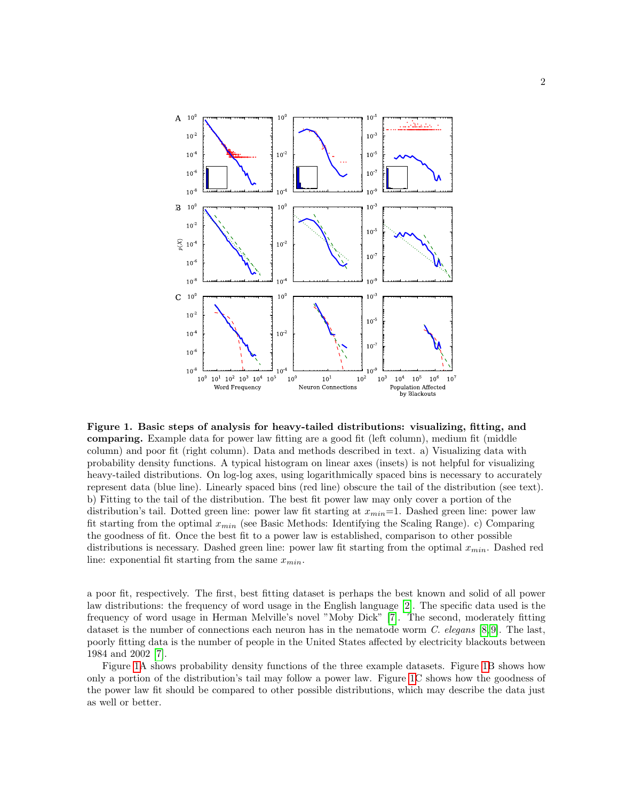<span id="page-1-0"></span>

Figure 1. Basic steps of analysis for heavy-tailed distributions: visualizing, fitting, and comparing. Example data for power law fitting are a good fit (left column), medium fit (middle column) and poor fit (right column). Data and methods described in text. a) Visualizing data with probability density functions. A typical histogram on linear axes (insets) is not helpful for visualizing heavy-tailed distributions. On log-log axes, using logarithmically spaced bins is necessary to accurately represent data (blue line). Linearly spaced bins (red line) obscure the tail of the distribution (see text). b) Fitting to the tail of the distribution. The best fit power law may only cover a portion of the distribution's tail. Dotted green line: power law fit starting at  $x_{min}=1$ . Dashed green line: power law fit starting from the optimal  $x_{min}$  (see Basic Methods: Identifying the Scaling Range). c) Comparing the goodness of fit. Once the best fit to a power law is established, comparison to other possible distributions is necessary. Dashed green line: power law fit starting from the optimal  $x_{min}$ . Dashed red line: exponential fit starting from the same  $x_{min}$ .

a poor fit, respectively. The first, best fitting dataset is perhaps the best known and solid of all power law distributions: the frequency of word usage in the English language [\[2\]](#page-16-4). The specific data used is the frequency of word usage in Herman Melville's novel "Moby Dick" [\[7\]](#page-16-5). The second, moderately fitting dataset is the number of connections each neuron has in the nematode worm C. elegans  $[8, 9]$  $[8, 9]$ . The last, poorly fitting data is the number of people in the United States affected by electricity blackouts between 1984 and 2002 [\[7\]](#page-16-5).

Figure [1A](#page-1-0) shows probability density functions of the three example datasets. Figure [1B](#page-1-0) shows how only a portion of the distribution's tail may follow a power law. Figure [1C](#page-1-0) shows how the goodness of the power law fit should be compared to other possible distributions, which may describe the data just as well or better.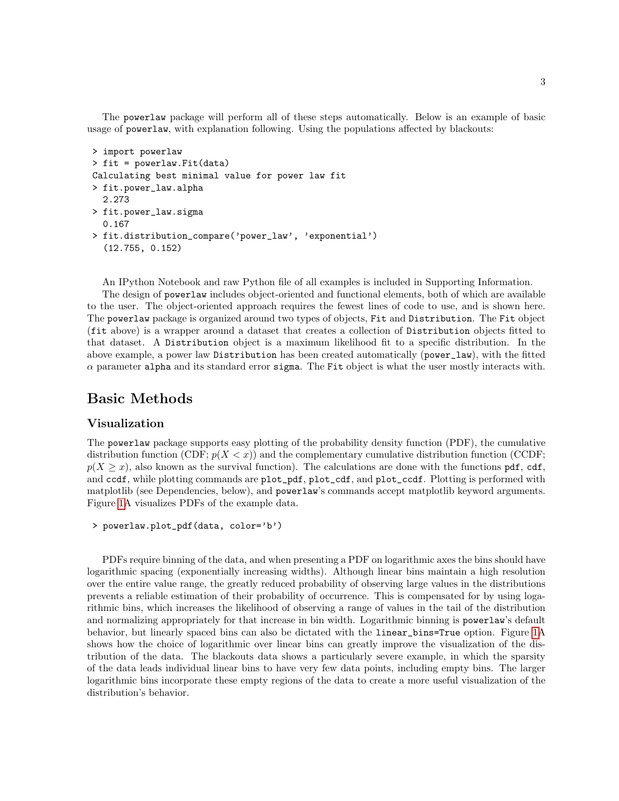The powerlaw package will perform all of these steps automatically. Below is an example of basic usage of powerlaw, with explanation following. Using the populations affected by blackouts:

```
> import powerlaw
> fit = powerlaw.Fit(data)
Calculating best minimal value for power law fit
> fit.power_law.alpha
  2.273
> fit.power_law.sigma
  0.167
> fit.distribution_compare('power_law', 'exponential')
  (12.755, 0.152)
```
An IPython Notebook and raw Python file of all examples is included in Supporting Information.

The design of powerlaw includes object-oriented and functional elements, both of which are available to the user. The object-oriented approach requires the fewest lines of code to use, and is shown here. The powerlaw package is organized around two types of objects, Fit and Distribution. The Fit object (fit above) is a wrapper around a dataset that creates a collection of Distribution objects fitted to that dataset. A Distribution object is a maximum likelihood fit to a specific distribution. In the above example, a power law Distribution has been created automatically (power\_law), with the fitted  $\alpha$  parameter alpha and its standard error sigma. The Fit object is what the user mostly interacts with.

# Basic Methods

## Visualization

The powerlaw package supports easy plotting of the probability density function (PDF), the cumulative distribution function (CDF;  $p(X \leq x)$ ) and the complementary cumulative distribution function (CCDF;  $p(X \geq x)$ , also known as the survival function). The calculations are done with the functions pdf, cdf, and ccdf, while plotting commands are plot\_pdf, plot\_cdf, and plot\_ccdf. Plotting is performed with matplotlib (see Dependencies, below), and powerlaw's commands accept matplotlib keyword arguments. Figure [1A](#page-1-0) visualizes PDFs of the example data.

```
> powerlaw.plot_pdf(data, color='b')
```
PDFs require binning of the data, and when presenting a PDF on logarithmic axes the bins should have logarithmic spacing (exponentially increasing widths). Although linear bins maintain a high resolution over the entire value range, the greatly reduced probability of observing large values in the distributions prevents a reliable estimation of their probability of occurrence. This is compensated for by using logarithmic bins, which increases the likelihood of observing a range of values in the tail of the distribution and normalizing appropriately for that increase in bin width. Logarithmic binning is powerlaw's default behavior, but linearly spaced bins can also be dictated with the linear\_bins=True option. Figure [1A](#page-1-0) shows how the choice of logarithmic over linear bins can greatly improve the visualization of the distribution of the data. The blackouts data shows a particularly severe example, in which the sparsity of the data leads individual linear bins to have very few data points, including empty bins. The larger logarithmic bins incorporate these empty regions of the data to create a more useful visualization of the distribution's behavior.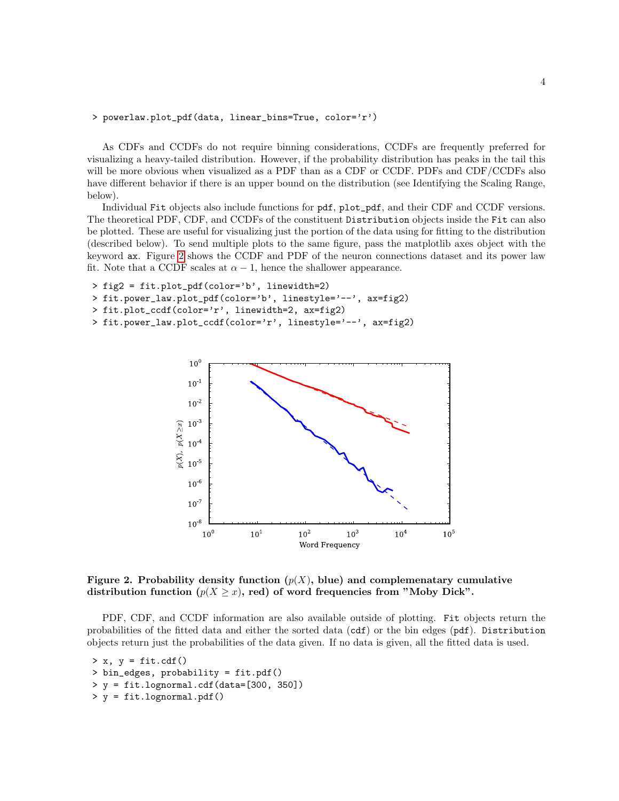#### > powerlaw.plot\_pdf(data, linear\_bins=True, color='r')

As CDFs and CCDFs do not require binning considerations, CCDFs are frequently preferred for visualizing a heavy-tailed distribution. However, if the probability distribution has peaks in the tail this will be more obvious when visualized as a PDF than as a CDF or CCDF. PDFs and CDF/CCDFs also have different behavior if there is an upper bound on the distribution (see Identifying the Scaling Range, below).

Individual Fit objects also include functions for pdf, plot\_pdf, and their CDF and CCDF versions. The theoretical PDF, CDF, and CCDFs of the constituent Distribution objects inside the Fit can also be plotted. These are useful for visualizing just the portion of the data using for fitting to the distribution (described below). To send multiple plots to the same figure, pass the matplotlib axes object with the keyword ax. Figure [2](#page-3-0) shows the CCDF and PDF of the neuron connections dataset and its power law fit. Note that a CCDF scales at  $\alpha - 1$ , hence the shallower appearance.

```
> fig2 = fit.plot_pdf(color='b', linewidth=2)
> fit.power_law.plot_pdf(color='b', linestyle='--', ax=fig2)
> fit.plot_ccdf(color='r', linewidth=2, ax=fig2)
> fit.power_law.plot_ccdf(color='r', linestyle='--', ax=fig2)
```


Figure 2. Probability density function  $(p(X),$  blue) and complementary cumulative distribution function  $(p(X \geq x), \text{ red})$  of word frequencies from "Moby Dick".

PDF, CDF, and CCDF information are also available outside of plotting. Fit objects return the probabilities of the fitted data and either the sorted data (cdf) or the bin edges (pdf). Distribution objects return just the probabilities of the data given. If no data is given, all the fitted data is used.

```
> x, y = \text{fitcdf}()> bin_edges, probability = fit.pdf()
> y = fit.lognormal.cdf(data=[300, 350])
> y = fit.lognormal.pdf()
```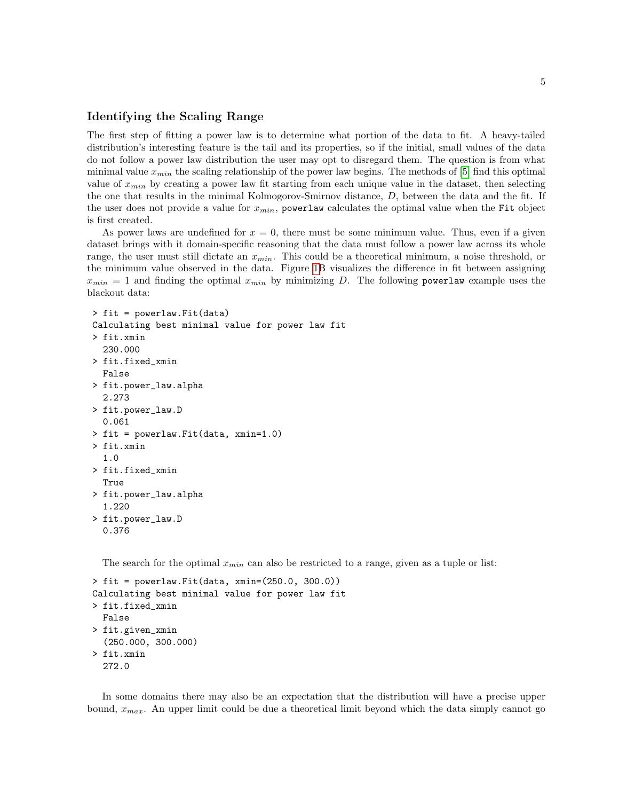#### Identifying the Scaling Range

The first step of fitting a power law is to determine what portion of the data to fit. A heavy-tailed distribution's interesting feature is the tail and its properties, so if the initial, small values of the data do not follow a power law distribution the user may opt to disregard them. The question is from what minimal value  $x_{min}$  the scaling relationship of the power law begins. The methods of [\[5\]](#page-16-2) find this optimal value of  $x_{min}$  by creating a power law fit starting from each unique value in the dataset, then selecting the one that results in the minimal Kolmogorov-Smirnov distance, D, between the data and the fit. If the user does not provide a value for  $x_{min}$ , powerlaw calculates the optimal value when the Fit object is first created.

As power laws are undefined for  $x = 0$ , there must be some minimum value. Thus, even if a given dataset brings with it domain-specific reasoning that the data must follow a power law across its whole range, the user must still dictate an  $x_{min}$ . This could be a theoretical minimum, a noise threshold, or the minimum value observed in the data. Figure [1B](#page-1-0) visualizes the difference in fit between assigning  $x_{min} = 1$  and finding the optimal  $x_{min}$  by minimizing D. The following powerlaw example uses the blackout data:

```
> fit = powerlaw.Fit(data)
Calculating best minimal value for power law fit
> fit.xmin
  230.000
> fit.fixed_xmin
  False
> fit.power_law.alpha
  2.273
> fit.power_law.D
  0.061
> fit = powerlaw.Fit(data, xmin=1.0)
> fit.xmin
  1.0
> fit.fixed_xmin
  True
> fit.power_law.alpha
  1.220
> fit.power_law.D
  0.376
```
The search for the optimal  $x_{min}$  can also be restricted to a range, given as a tuple or list:

```
> fit = powerlaw.Fit(data, xmin=(250.0, 300.0))
Calculating best minimal value for power law fit
> fit.fixed_xmin
  False
> fit.given_xmin
  (250.000, 300.000)
> fit.xmin
  272.0
```
In some domains there may also be an expectation that the distribution will have a precise upper bound,  $x_{max}$ . An upper limit could be due a theoretical limit beyond which the data simply cannot go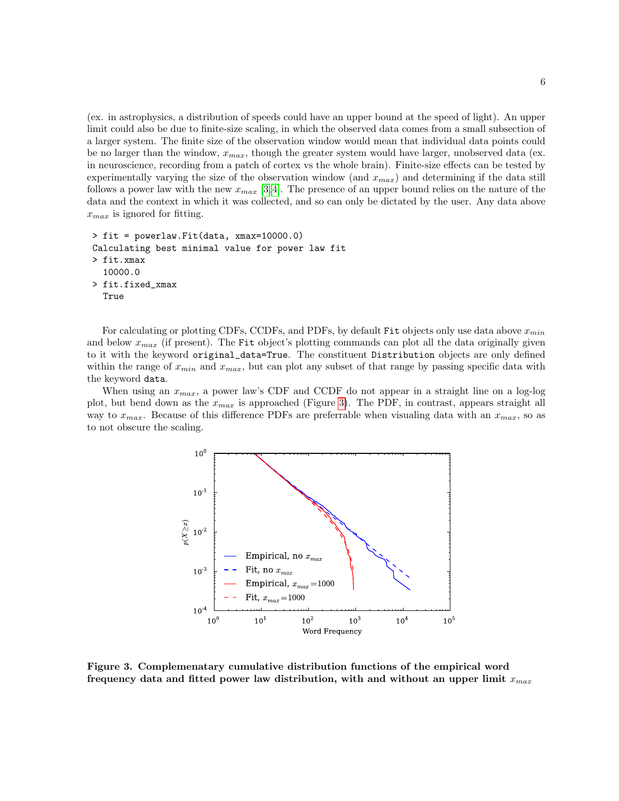(ex. in astrophysics, a distribution of speeds could have an upper bound at the speed of light). An upper limit could also be due to finite-size scaling, in which the observed data comes from a small subsection of a larger system. The finite size of the observation window would mean that individual data points could be no larger than the window,  $x_{max}$ , though the greater system would have larger, unobserved data (ex. in neuroscience, recording from a patch of cortex vs the whole brain). Finite-size effects can be tested by experimentally varying the size of the observation window (and  $x_{max}$ ) and determining if the data still follows a power law with the new  $x_{max}$  [\[3,](#page-16-8) [4\]](#page-16-1). The presence of an upper bound relies on the nature of the data and the context in which it was collected, and so can only be dictated by the user. Any data above  $x_{max}$  is ignored for fitting.

```
> fit = powerlaw.Fit(data, xmax=10000.0)
Calculating best minimal value for power law fit
> fit.xmax
  10000.0
> fit.fixed_xmax
  True
```
For calculating or plotting CDFs, CCDFs, and PDFs, by default Fit objects only use data above  $x_{min}$ and below  $x_{max}$  (if present). The Fit object's plotting commands can plot all the data originally given to it with the keyword original\_data=True. The constituent Distribution objects are only defined within the range of  $x_{min}$  and  $x_{max}$ , but can plot any subset of that range by passing specific data with the keyword data.

<span id="page-5-0"></span>When using an  $x_{max}$ , a power law's CDF and CCDF do not appear in a straight line on a log-log plot, but bend down as the  $x_{max}$  is approached (Figure [3\)](#page-5-0). The PDF, in contrast, appears straight all way to  $x_{max}$ . Because of this difference PDFs are preferrable when visualing data with an  $x_{max}$ , so as to not obscure the scaling.



Figure 3. Complemenatary cumulative distribution functions of the empirical word frequency data and fitted power law distribution, with and without an upper limit  $x_{max}$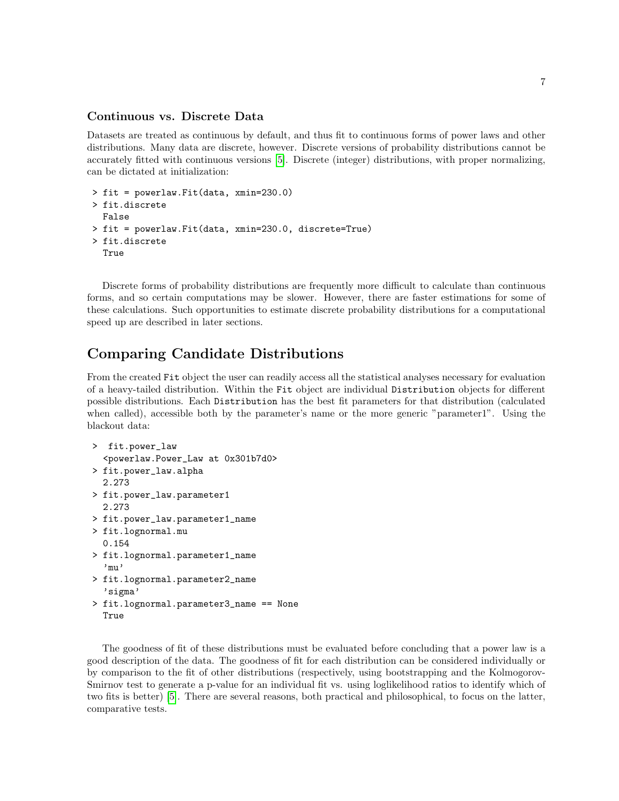## Continuous vs. Discrete Data

Datasets are treated as continuous by default, and thus fit to continuous forms of power laws and other distributions. Many data are discrete, however. Discrete versions of probability distributions cannot be accurately fitted with continuous versions [\[5\]](#page-16-2). Discrete (integer) distributions, with proper normalizing, can be dictated at initialization:

```
> fit = powerlaw.Fit(data, xmin=230.0)
> fit.discrete
  False
> fit = powerlaw.Fit(data, xmin=230.0, discrete=True)
> fit.discrete
  True
```
Discrete forms of probability distributions are frequently more difficult to calculate than continuous forms, and so certain computations may be slower. However, there are faster estimations for some of these calculations. Such opportunities to estimate discrete probability distributions for a computational speed up are described in later sections.

# Comparing Candidate Distributions

From the created Fit object the user can readily access all the statistical analyses necessary for evaluation of a heavy-tailed distribution. Within the Fit object are individual Distribution objects for different possible distributions. Each Distribution has the best fit parameters for that distribution (calculated when called), accessible both by the parameter's name or the more generic "parameter1". Using the blackout data:

```
> fit.power_law
  <powerlaw.Power_Law at 0x301b7d0>
> fit.power_law.alpha
  2.273
> fit.power_law.parameter1
  2.273
> fit.power_law.parameter1_name
> fit.lognormal.mu
  0.154
> fit.lognormal.parameter1_name
  'mu'
> fit.lognormal.parameter2_name
  'sigma'
> fit.lognormal.parameter3_name == None
  True
```
The goodness of fit of these distributions must be evaluated before concluding that a power law is a good description of the data. The goodness of fit for each distribution can be considered individually or by comparison to the fit of other distributions (respectively, using bootstrapping and the Kolmogorov-Smirnov test to generate a p-value for an individual fit vs. using loglikelihood ratios to identify which of two fits is better) [\[5\]](#page-16-2). There are several reasons, both practical and philosophical, to focus on the latter, comparative tests.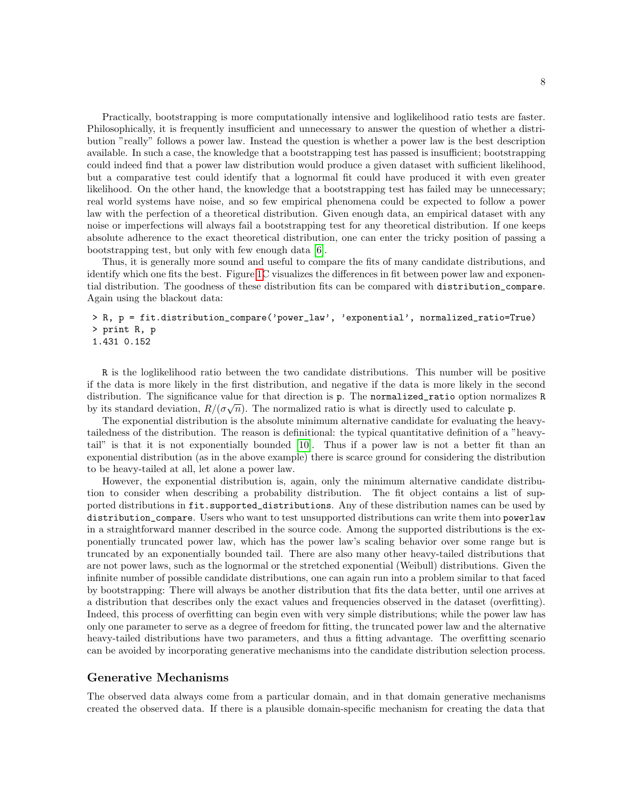Practically, bootstrapping is more computationally intensive and loglikelihood ratio tests are faster. Philosophically, it is frequently insufficient and unnecessary to answer the question of whether a distribution "really" follows a power law. Instead the question is whether a power law is the best description available. In such a case, the knowledge that a bootstrapping test has passed is insufficient; bootstrapping could indeed find that a power law distribution would produce a given dataset with sufficient likelihood, but a comparative test could identify that a lognormal fit could have produced it with even greater likelihood. On the other hand, the knowledge that a bootstrapping test has failed may be unnecessary; real world systems have noise, and so few empirical phenomena could be expected to follow a power law with the perfection of a theoretical distribution. Given enough data, an empirical dataset with any noise or imperfections will always fail a bootstrapping test for any theoretical distribution. If one keeps absolute adherence to the exact theoretical distribution, one can enter the tricky position of passing a bootstrapping test, but only with few enough data [\[6\]](#page-16-3).

Thus, it is generally more sound and useful to compare the fits of many candidate distributions, and identify which one fits the best. Figure [1C](#page-1-0) visualizes the differences in fit between power law and exponential distribution. The goodness of these distribution fits can be compared with distribution\_compare. Again using the blackout data:

```
> R, p = fit.distribution_compare('power_law', 'exponential', normalized_ratio=True)
> print R, p
1.431 0.152
```
R is the loglikelihood ratio between the two candidate distributions. This number will be positive if the data is more likely in the first distribution, and negative if the data is more likely in the second distribution. The significance value for that direction is p. The normalized\_ratio option normalizes R by its standard deviation,  $R/(\sigma\sqrt{n})$ . The normalized ratio is what is directly used to calculate p.

The exponential distribution is the absolute minimum alternative candidate for evaluating the heavytailedness of the distribution. The reason is definitional: the typical quantitative definition of a "heavytail" is that it is not exponentially bounded [\[10\]](#page-16-9). Thus if a power law is not a better fit than an exponential distribution (as in the above example) there is scarce ground for considering the distribution to be heavy-tailed at all, let alone a power law.

However, the exponential distribution is, again, only the minimum alternative candidate distribution to consider when describing a probability distribution. The fit object contains a list of supported distributions in fit.supported\_distributions. Any of these distribution names can be used by distribution\_compare. Users who want to test unsupported distributions can write them into powerlaw in a straightforward manner described in the source code. Among the supported distributions is the exponentially truncated power law, which has the power law's scaling behavior over some range but is truncated by an exponentially bounded tail. There are also many other heavy-tailed distributions that are not power laws, such as the lognormal or the stretched exponential (Weibull) distributions. Given the infinite number of possible candidate distributions, one can again run into a problem similar to that faced by bootstrapping: There will always be another distribution that fits the data better, until one arrives at a distribution that describes only the exact values and frequencies observed in the dataset (overfitting). Indeed, this process of overfitting can begin even with very simple distributions; while the power law has only one parameter to serve as a degree of freedom for fitting, the truncated power law and the alternative heavy-tailed distributions have two parameters, and thus a fitting advantage. The overfitting scenario can be avoided by incorporating generative mechanisms into the candidate distribution selection process.

#### Generative Mechanisms

The observed data always come from a particular domain, and in that domain generative mechanisms created the observed data. If there is a plausible domain-specific mechanism for creating the data that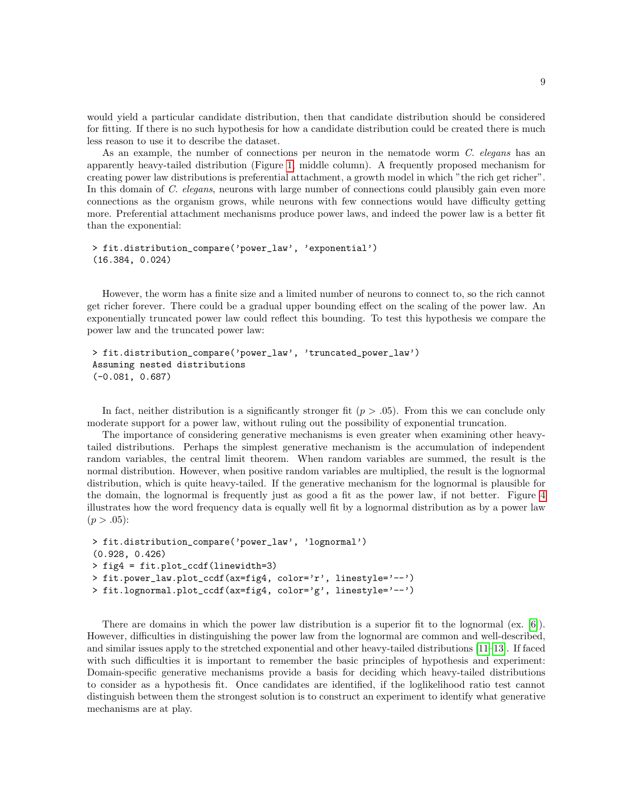would yield a particular candidate distribution, then that candidate distribution should be considered for fitting. If there is no such hypothesis for how a candidate distribution could be created there is much less reason to use it to describe the dataset.

As an example, the number of connections per neuron in the nematode worm C. elegans has an apparently heavy-tailed distribution (Figure [1,](#page-1-0) middle column). A frequently proposed mechanism for creating power law distributions is preferential attachment, a growth model in which "the rich get richer". In this domain of C. elegans, neurons with large number of connections could plausibly gain even more connections as the organism grows, while neurons with few connections would have difficulty getting more. Preferential attachment mechanisms produce power laws, and indeed the power law is a better fit than the exponential:

```
> fit.distribution_compare('power_law', 'exponential')
(16.384, 0.024)
```
However, the worm has a finite size and a limited number of neurons to connect to, so the rich cannot get richer forever. There could be a gradual upper bounding effect on the scaling of the power law. An exponentially truncated power law could reflect this bounding. To test this hypothesis we compare the power law and the truncated power law:

```
> fit.distribution_compare('power_law', 'truncated_power_law')
Assuming nested distributions
(-0.081, 0.687)
```
In fact, neither distribution is a significantly stronger fit  $(p > .05)$ . From this we can conclude only moderate support for a power law, without ruling out the possibility of exponential truncation.

The importance of considering generative mechanisms is even greater when examining other heavytailed distributions. Perhaps the simplest generative mechanism is the accumulation of independent random variables, the central limit theorem. When random variables are summed, the result is the normal distribution. However, when positive random variables are multiplied, the result is the lognormal distribution, which is quite heavy-tailed. If the generative mechanism for the lognormal is plausible for the domain, the lognormal is frequently just as good a fit as the power law, if not better. Figure [4](#page-9-0) illustrates how the word frequency data is equally well fit by a lognormal distribution as by a power law  $(p > .05)$ :

```
> fit.distribution_compare('power_law', 'lognormal')
(0.928, 0.426)
> fig4 = fit.plot_ccdf(linewidth=3)
> fit.power_law.plot_ccdf(ax=fig4, color='r', linestyle='--')
> fit.lognormal.plot_ccdf(ax=fig4, color='g', linestyle='--')
```
There are domains in which the power law distribution is a superior fit to the lognormal (ex. [\[6\]](#page-16-3)). However, difficulties in distinguishing the power law from the lognormal are common and well-described, and similar issues apply to the stretched exponential and other heavy-tailed distributions [\[11–](#page-16-10)[13\]](#page-16-11). If faced with such difficulties it is important to remember the basic principles of hypothesis and experiment: Domain-specific generative mechanisms provide a basis for deciding which heavy-tailed distributions to consider as a hypothesis fit. Once candidates are identified, if the loglikelihood ratio test cannot distinguish between them the strongest solution is to construct an experiment to identify what generative mechanisms are at play.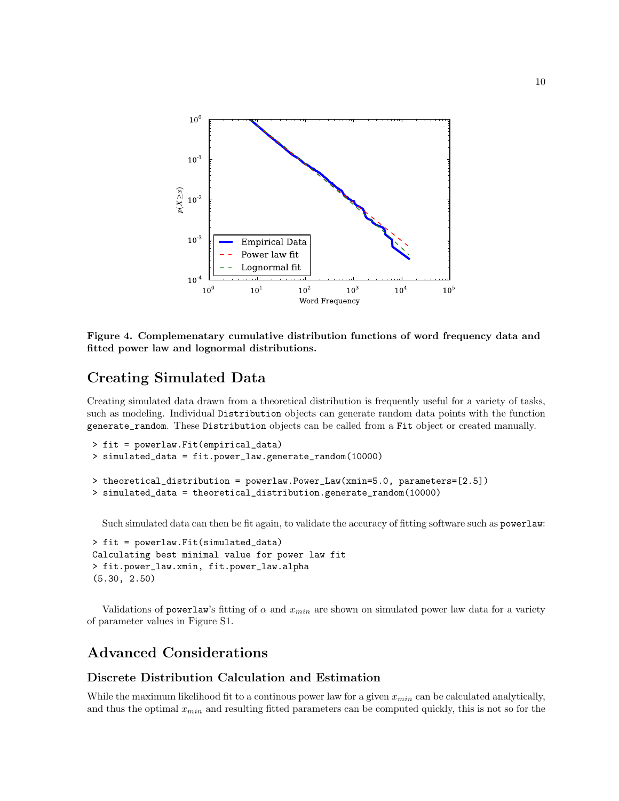<span id="page-9-0"></span>

Figure 4. Complemenatary cumulative distribution functions of word frequency data and fitted power law and lognormal distributions.

# Creating Simulated Data

Creating simulated data drawn from a theoretical distribution is frequently useful for a variety of tasks, such as modeling. Individual Distribution objects can generate random data points with the function generate\_random. These Distribution objects can be called from a Fit object or created manually.

```
> fit = powerlaw.Fit(empirical_data)
> simulated_data = fit.power_law.generate_random(10000)
> theoretical_distribution = powerlaw.Power_Law(xmin=5.0, parameters=[2.5])
> simulated_data = theoretical_distribution.generate_random(10000)
```
Such simulated data can then be fit again, to validate the accuracy of fitting software such as powerlaw:

```
> fit = powerlaw.Fit(simulated_data)
Calculating best minimal value for power law fit
> fit.power_law.xmin, fit.power_law.alpha
(5.30, 2.50)
```
Validations of powerlaw's fitting of  $\alpha$  and  $x_{min}$  are shown on simulated power law data for a variety of parameter values in Figure S1.

# Advanced Considerations

#### Discrete Distribution Calculation and Estimation

While the maximum likelihood fit to a continous power law for a given  $x_{min}$  can be calculated analytically, and thus the optimal  $x_{min}$  and resulting fitted parameters can be computed quickly, this is not so for the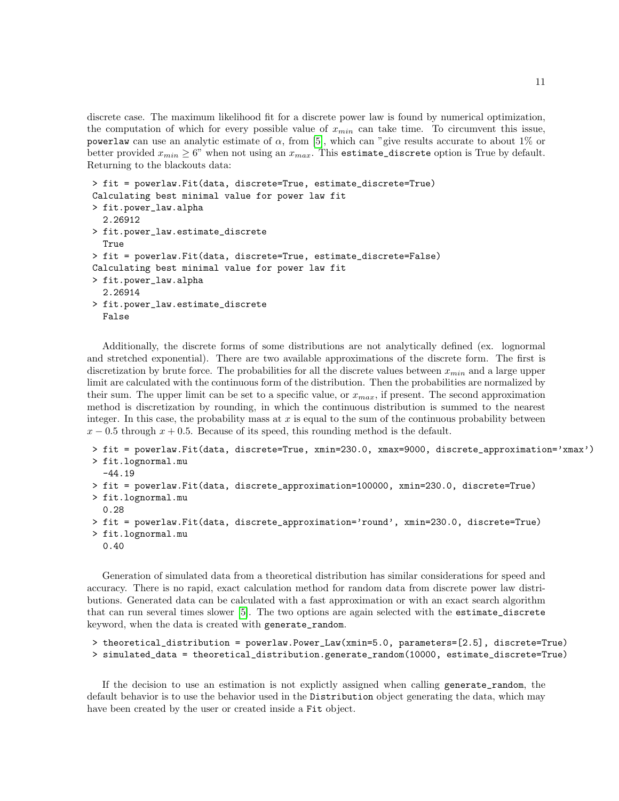discrete case. The maximum likelihood fit for a discrete power law is found by numerical optimization, the computation of which for every possible value of  $x_{min}$  can take time. To circumvent this issue, powerlaw can use an analytic estimate of  $\alpha$ , from [\[5\]](#page-16-2), which can "give results accurate to about 1% or better provided  $x_{min} \geq 6$ " when not using an  $x_{max}$ . This estimate\_discrete option is True by default. Returning to the blackouts data:

```
> fit = powerlaw.Fit(data, discrete=True, estimate_discrete=True)
Calculating best minimal value for power law fit
> fit.power_law.alpha
  2.26912
> fit.power_law.estimate_discrete
  True
> fit = powerlaw.Fit(data, discrete=True, estimate_discrete=False)
Calculating best minimal value for power law fit
> fit.power_law.alpha
  2.26914
> fit.power_law.estimate_discrete
  False
```
Additionally, the discrete forms of some distributions are not analytically defined (ex. lognormal and stretched exponential). There are two available approximations of the discrete form. The first is discretization by brute force. The probabilities for all the discrete values between  $x_{min}$  and a large upper limit are calculated with the continuous form of the distribution. Then the probabilities are normalized by their sum. The upper limit can be set to a specific value, or  $x_{max}$ , if present. The second approximation method is discretization by rounding, in which the continuous distribution is summed to the nearest integer. In this case, the probability mass at  $x$  is equal to the sum of the continuous probability between  $x - 0.5$  through  $x + 0.5$ . Because of its speed, this rounding method is the default.

```
> fit = powerlaw.Fit(data, discrete=True, xmin=230.0, xmax=9000, discrete_approximation='xmax')
> fit.lognormal.mu
  -44.19> fit = powerlaw.Fit(data, discrete_approximation=100000, xmin=230.0, discrete=True)
> fit.lognormal.mu
  0.28
> fit = powerlaw.Fit(data, discrete_approximation='round', xmin=230.0, discrete=True)
> fit.lognormal.mu
  0.40
```
Generation of simulated data from a theoretical distribution has similar considerations for speed and accuracy. There is no rapid, exact calculation method for random data from discrete power law distributions. Generated data can be calculated with a fast approximation or with an exact search algorithm that can run several times slower [\[5\]](#page-16-2). The two options are again selected with the estimate\_discrete keyword, when the data is created with generate\_random.

```
> theoretical_distribution = powerlaw.Power_Law(xmin=5.0, parameters=[2.5], discrete=True)
> simulated_data = theoretical_distribution.generate_random(10000, estimate_discrete=True)
```
If the decision to use an estimation is not explictly assigned when calling generate\_random, the default behavior is to use the behavior used in the Distribution object generating the data, which may have been created by the user or created inside a Fit object.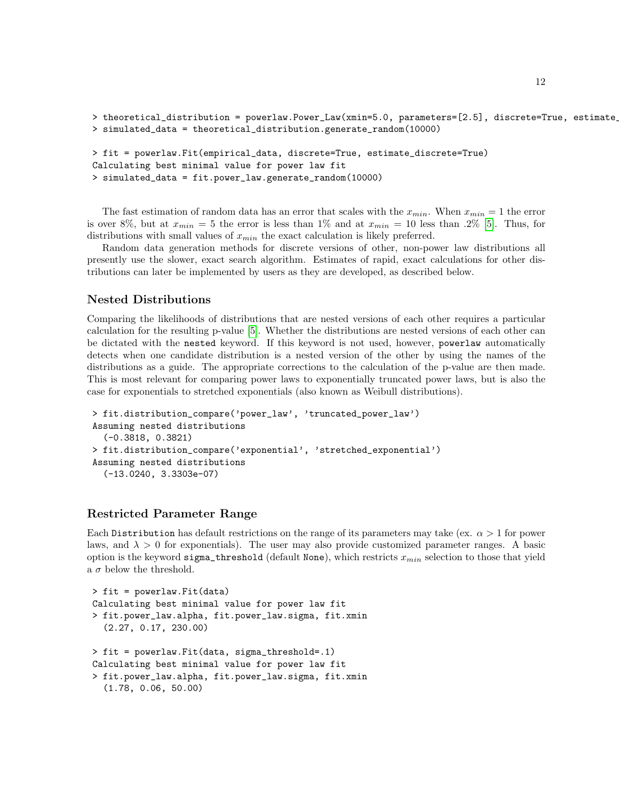```
> theoretical_distribution = powerlaw.Power_Law(xmin=5.0, parameters=[2.5], discrete=True, estimate
> simulated_data = theoretical_distribution.generate_random(10000)
```

```
> fit = powerlaw.Fit(empirical_data, discrete=True, estimate_discrete=True)
Calculating best minimal value for power law fit
> simulated_data = fit.power_law.generate_random(10000)
```
The fast estimation of random data has an error that scales with the  $x_{min}$ . When  $x_{min} = 1$  the error is over 8%, but at  $x_{min} = 5$  the error is less than 1% and at  $x_{min} = 10$  less than .2% [\[5\]](#page-16-2). Thus, for distributions with small values of  $x_{min}$  the exact calculation is likely preferred.

Random data generation methods for discrete versions of other, non-power law distributions all presently use the slower, exact search algorithm. Estimates of rapid, exact calculations for other distributions can later be implemented by users as they are developed, as described below.

## Nested Distributions

Comparing the likelihoods of distributions that are nested versions of each other requires a particular calculation for the resulting p-value [\[5\]](#page-16-2). Whether the distributions are nested versions of each other can be dictated with the nested keyword. If this keyword is not used, however, powerlaw automatically detects when one candidate distribution is a nested version of the other by using the names of the distributions as a guide. The appropriate corrections to the calculation of the p-value are then made. This is most relevant for comparing power laws to exponentially truncated power laws, but is also the case for exponentials to stretched exponentials (also known as Weibull distributions).

```
> fit.distribution_compare('power_law', 'truncated_power_law')
Assuming nested distributions
  (-0.3818, 0.3821)
> fit.distribution_compare('exponential', 'stretched_exponential')
Assuming nested distributions
  (-13.0240, 3.3303e-07)
```
#### Restricted Parameter Range

Each Distribution has default restrictions on the range of its parameters may take (ex.  $\alpha > 1$  for power laws, and  $\lambda > 0$  for exponentials). The user may also provide customized parameter ranges. A basic option is the keyword sigma\_threshold (default None), which restricts  $x_{min}$  selection to those that yield a  $\sigma$  below the threshold.

```
> fit = powerlaw.Fit(data)
Calculating best minimal value for power law fit
> fit.power_law.alpha, fit.power_law.sigma, fit.xmin
  (2.27, 0.17, 230.00)
> fit = powerlaw.Fit(data, sigma_threshold=.1)
Calculating best minimal value for power law fit
> fit.power_law.alpha, fit.power_law.sigma, fit.xmin
  (1.78, 0.06, 50.00)
```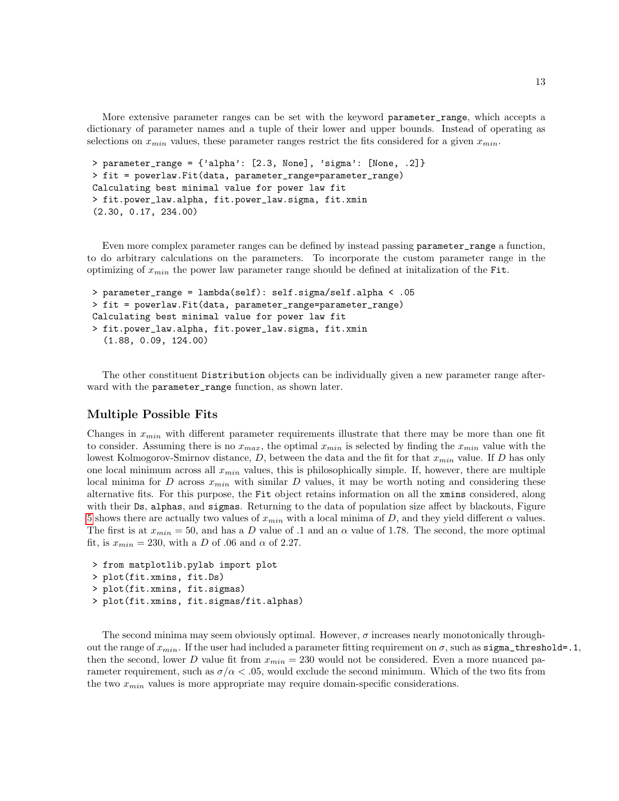More extensive parameter ranges can be set with the keyword parameter\_range, which accepts a dictionary of parameter names and a tuple of their lower and upper bounds. Instead of operating as selections on  $x_{min}$  values, these parameter ranges restrict the fits considered for a given  $x_{min}$ .

```
> parameter_range = {'alpha': [2.3, None], 'sigma': [None, .2]}
> fit = powerlaw.Fit(data, parameter_range=parameter_range)
Calculating best minimal value for power law fit
> fit.power_law.alpha, fit.power_law.sigma, fit.xmin
(2.30, 0.17, 234.00)
```
Even more complex parameter ranges can be defined by instead passing parameter\_range a function, to do arbitrary calculations on the parameters. To incorporate the custom parameter range in the optimizing of  $x_{min}$  the power law parameter range should be defined at initalization of the Fit.

```
> parameter_range = lambda(self): self.sigma/self.alpha < .05
> fit = powerlaw.Fit(data, parameter_range=parameter_range)
Calculating best minimal value for power law fit
> fit.power_law.alpha, fit.power_law.sigma, fit.xmin
  (1.88, 0.09, 124.00)
```
The other constituent Distribution objects can be individually given a new parameter range afterward with the parameter\_range function, as shown later.

#### Multiple Possible Fits

Changes in  $x_{min}$  with different parameter requirements illustrate that there may be more than one fit to consider. Assuming there is no  $x_{max}$ , the optimal  $x_{min}$  is selected by finding the  $x_{min}$  value with the lowest Kolmogorov-Smirnov distance, D, between the data and the fit for that  $x_{min}$  value. If D has only one local minimum across all  $x_{min}$  values, this is philosophically simple. If, however, there are multiple local minima for D across  $x_{min}$  with similar D values, it may be worth noting and considering these alternative fits. For this purpose, the Fit object retains information on all the xmins considered, along with their Ds, alphas, and sigmas. Returning to the data of population size affect by blackouts, Figure [5](#page-13-0) shows there are actually two values of  $x_{min}$  with a local minima of D, and they yield different  $\alpha$  values. The first is at  $x_{min} = 50$ , and has a D value of .1 and an  $\alpha$  value of 1.78. The second, the more optimal fit, is  $x_{min} = 230$ , with a D of .06 and  $\alpha$  of 2.27.

```
> from matplotlib.pylab import plot
> plot(fit.xmins, fit.Ds)
> plot(fit.xmins, fit.sigmas)
> plot(fit.xmins, fit.sigmas/fit.alphas)
```
The second minima may seem obviously optimal. However,  $\sigma$  increases nearly monotonically throughout the range of  $x_{min}$ . If the user had included a parameter fitting requirement on  $\sigma$ , such as sigma\_threshold=.1, then the second, lower D value fit from  $x_{min} = 230$  would not be considered. Even a more nuanced parameter requirement, such as  $\sigma/\alpha < 0.05$ , would exclude the second minimum. Which of the two fits from the two  $x_{min}$  values is more appropriate may require domain-specific considerations.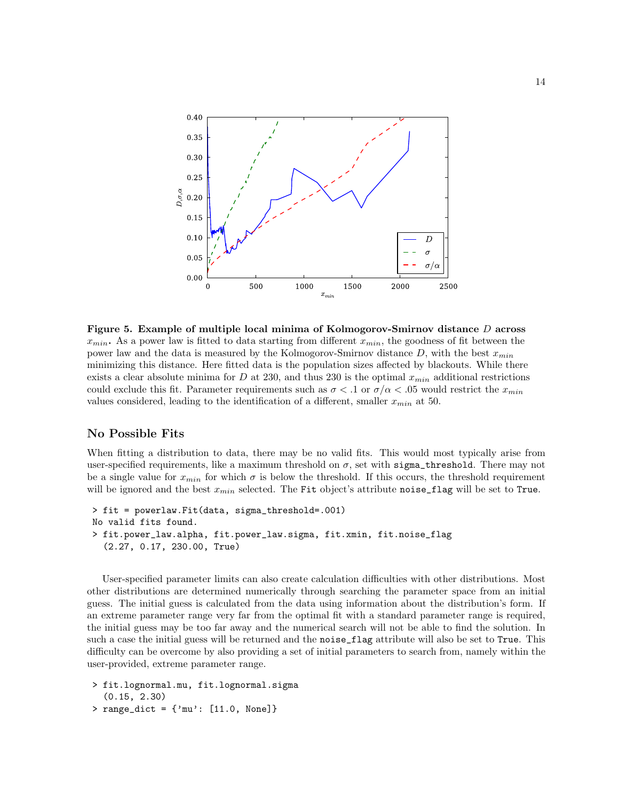<span id="page-13-0"></span>

Figure 5. Example of multiple local minima of Kolmogorov-Smirnov distance D across  $x_{min}$ . As a power law is fitted to data starting from different  $x_{min}$ , the goodness of fit between the power law and the data is measured by the Kolmogorov-Smirnov distance  $D$ , with the best  $x_{min}$ minimizing this distance. Here fitted data is the population sizes affected by blackouts. While there exists a clear absolute minima for D at 230, and thus 230 is the optimal  $x_{min}$  additional restrictions could exclude this fit. Parameter requirements such as  $\sigma < 0.1$  or  $\sigma/\alpha < 0.05$  would restrict the  $x_{min}$ values considered, leading to the identification of a different, smaller  $x_{min}$  at 50.

## No Possible Fits

When fitting a distribution to data, there may be no valid fits. This would most typically arise from user-specified requirements, like a maximum threshold on  $\sigma$ , set with sigma\_threshold. There may not be a single value for  $x_{min}$  for which  $\sigma$  is below the threshold. If this occurs, the threshold requirement will be ignored and the best  $x_{min}$  selected. The Fit object's attribute noise\_flag will be set to True.

```
> fit = powerlaw.Fit(data, sigma_threshold=.001)
No valid fits found.
> fit.power_law.alpha, fit.power_law.sigma, fit.xmin, fit.noise_flag
  (2.27, 0.17, 230.00, True)
```
User-specified parameter limits can also create calculation difficulties with other distributions. Most other distributions are determined numerically through searching the parameter space from an initial guess. The initial guess is calculated from the data using information about the distribution's form. If an extreme parameter range very far from the optimal fit with a standard parameter range is required, the initial guess may be too far away and the numerical search will not be able to find the solution. In such a case the initial guess will be returned and the noise\_flag attribute will also be set to True. This difficulty can be overcome by also providing a set of initial parameters to search from, namely within the user-provided, extreme parameter range.

```
> fit.lognormal.mu, fit.lognormal.sigma
  (0.15, 2.30)
> range\_dict = {'mu': [11.0, None]}
```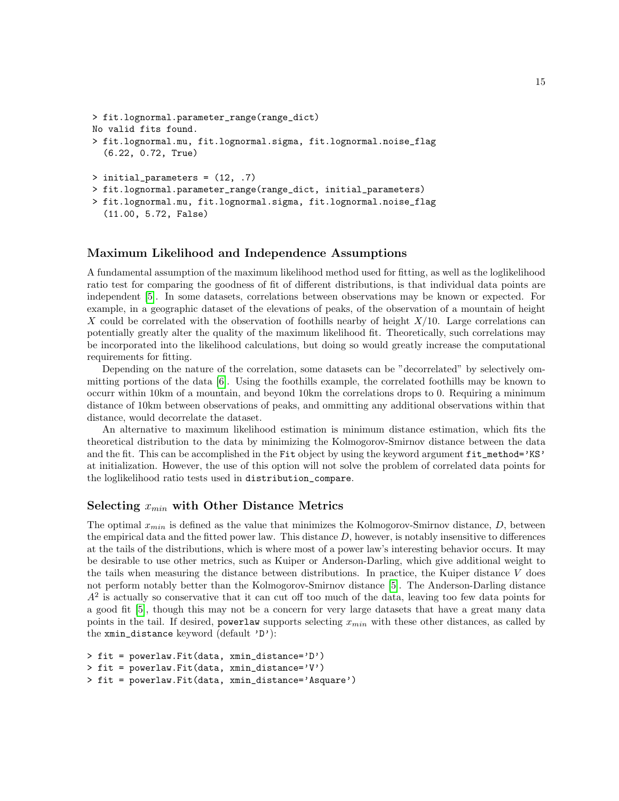```
> fit.lognormal.parameter_range(range_dict)
No valid fits found.
> fit.lognormal.mu, fit.lognormal.sigma, fit.lognormal.noise_flag
  (6.22, 0.72, True)
> initial_parameters = (12, .7)
> fit.lognormal.parameter_range(range_dict, initial_parameters)
```

```
> fit.lognormal.mu, fit.lognormal.sigma, fit.lognormal.noise_flag
  (11.00, 5.72, False)
```
## Maximum Likelihood and Independence Assumptions

A fundamental assumption of the maximum likelihood method used for fitting, as well as the loglikelihood ratio test for comparing the goodness of fit of different distributions, is that individual data points are independent [\[5\]](#page-16-2). In some datasets, correlations between observations may be known or expected. For example, in a geographic dataset of the elevations of peaks, of the observation of a mountain of height X could be correlated with the observation of foothills nearby of height  $X/10$ . Large correlations can potentially greatly alter the quality of the maximum likelihood fit. Theoretically, such correlations may be incorporated into the likelihood calculations, but doing so would greatly increase the computational requirements for fitting.

Depending on the nature of the correlation, some datasets can be "decorrelated" by selectively ommitting portions of the data [\[6\]](#page-16-3). Using the foothills example, the correlated foothills may be known to occurr within 10km of a mountain, and beyond 10km the correlations drops to 0. Requiring a minimum distance of 10km between observations of peaks, and ommitting any additional observations within that distance, would decorrelate the dataset.

An alternative to maximum likelihood estimation is minimum distance estimation, which fits the theoretical distribution to the data by minimizing the Kolmogorov-Smirnov distance between the data and the fit. This can be accomplished in the Fit object by using the keyword argument fit\_method='KS' at initialization. However, the use of this option will not solve the problem of correlated data points for the loglikelihood ratio tests used in distribution\_compare.

### Selecting  $x_{min}$  with Other Distance Metrics

The optimal  $x_{min}$  is defined as the value that minimizes the Kolmogorov-Smirnov distance, D, between the empirical data and the fitted power law. This distance  $D$ , however, is notably insensitive to differences at the tails of the distributions, which is where most of a power law's interesting behavior occurs. It may be desirable to use other metrics, such as Kuiper or Anderson-Darling, which give additional weight to the tails when measuring the distance between distributions. In practice, the Kuiper distance V does not perform notably better than the Kolmogorov-Smirnov distance [\[5\]](#page-16-2). The Anderson-Darling distance  $A<sup>2</sup>$  is actually so conservative that it can cut off too much of the data, leaving too few data points for a good fit [\[5\]](#page-16-2), though this may not be a concern for very large datasets that have a great many data points in the tail. If desired, powerlaw supports selecting  $x_{min}$  with these other distances, as called by the xmin\_distance keyword (default 'D'):

```
> fit = powerlaw.Fit(data, xmin_distance='D')
> fit = powerlaw.Fit(data, xmin_distance='V')
> fit = powerlaw.Fit(data, xmin_distance='Asquare')
```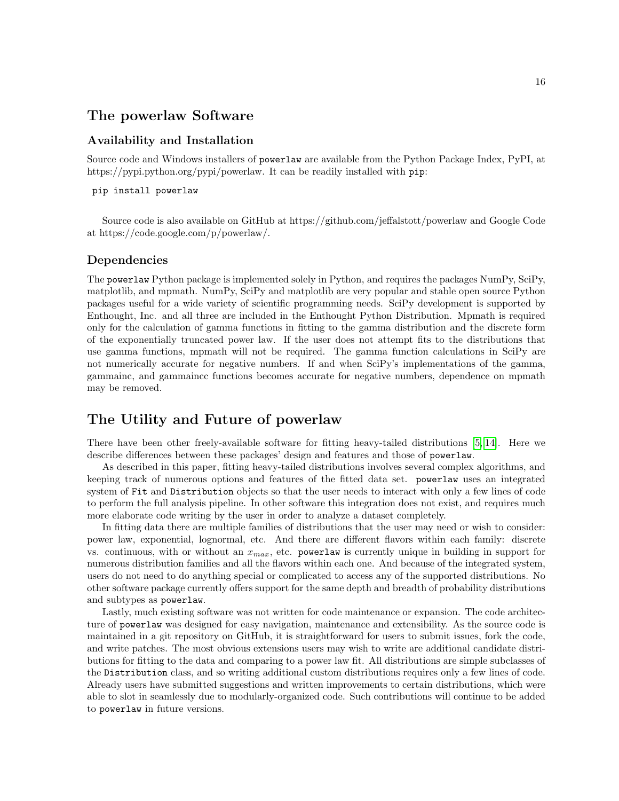## The powerlaw Software

#### Availability and Installation

Source code and Windows installers of powerlaw are available from the Python Package Index, PyPI, at https://pypi.python.org/pypi/powerlaw. It can be readily installed with pip:

pip install powerlaw

Source code is also available on GitHub at https://github.com/jeffalstott/powerlaw and Google Code at https://code.google.com/p/powerlaw/.

#### Dependencies

The powerlaw Python package is implemented solely in Python, and requires the packages NumPy, SciPy, matplotlib, and mpmath. NumPy, SciPy and matplotlib are very popular and stable open source Python packages useful for a wide variety of scientific programming needs. SciPy development is supported by Enthought, Inc. and all three are included in the Enthought Python Distribution. Mpmath is required only for the calculation of gamma functions in fitting to the gamma distribution and the discrete form of the exponentially truncated power law. If the user does not attempt fits to the distributions that use gamma functions, mpmath will not be required. The gamma function calculations in SciPy are not numerically accurate for negative numbers. If and when SciPy's implementations of the gamma, gammainc, and gammaincc functions becomes accurate for negative numbers, dependence on mpmath may be removed.

## The Utility and Future of powerlaw

There have been other freely-available software for fitting heavy-tailed distributions [\[5,](#page-16-2) [14\]](#page-16-12). Here we describe differences between these packages' design and features and those of powerlaw.

As described in this paper, fitting heavy-tailed distributions involves several complex algorithms, and keeping track of numerous options and features of the fitted data set. powerlaw uses an integrated system of Fit and Distribution objects so that the user needs to interact with only a few lines of code to perform the full analysis pipeline. In other software this integration does not exist, and requires much more elaborate code writing by the user in order to analyze a dataset completely.

In fitting data there are multiple families of distributions that the user may need or wish to consider: power law, exponential, lognormal, etc. And there are different flavors within each family: discrete vs. continuous, with or without an  $x_{max}$ , etc. powerlaw is currently unique in building in support for numerous distribution families and all the flavors within each one. And because of the integrated system, users do not need to do anything special or complicated to access any of the supported distributions. No other software package currently offers support for the same depth and breadth of probability distributions and subtypes as powerlaw.

Lastly, much existing software was not written for code maintenance or expansion. The code architecture of powerlaw was designed for easy navigation, maintenance and extensibility. As the source code is maintained in a git repository on GitHub, it is straightforward for users to submit issues, fork the code, and write patches. The most obvious extensions users may wish to write are additional candidate distributions for fitting to the data and comparing to a power law fit. All distributions are simple subclasses of the Distribution class, and so writing additional custom distributions requires only a few lines of code. Already users have submitted suggestions and written improvements to certain distributions, which were able to slot in seamlessly due to modularly-organized code. Such contributions will continue to be added to powerlaw in future versions.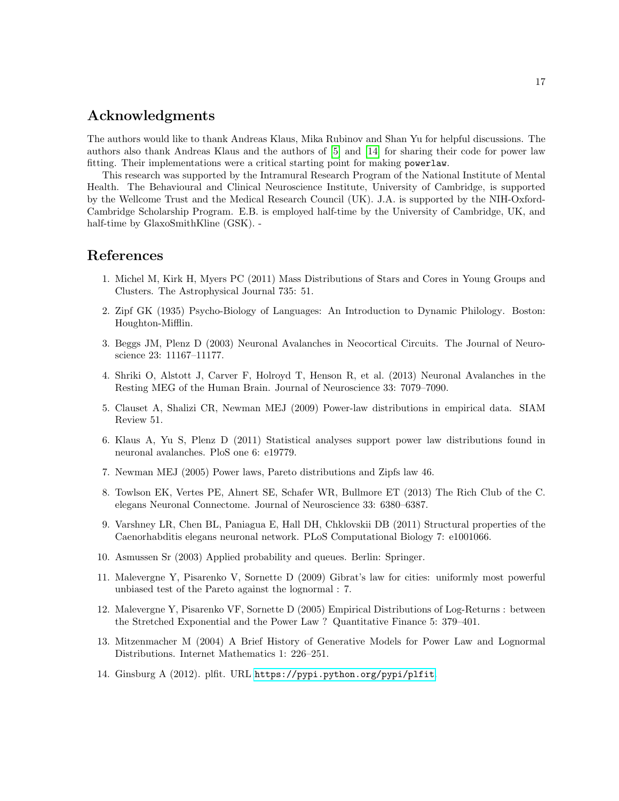## Acknowledgments

The authors would like to thank Andreas Klaus, Mika Rubinov and Shan Yu for helpful discussions. The authors also thank Andreas Klaus and the authors of [\[5\]](#page-16-2) and [\[14\]](#page-16-12) for sharing their code for power law fitting. Their implementations were a critical starting point for making powerlaw.

This research was supported by the Intramural Research Program of the National Institute of Mental Health. The Behavioural and Clinical Neuroscience Institute, University of Cambridge, is supported by the Wellcome Trust and the Medical Research Council (UK). J.A. is supported by the NIH-Oxford-Cambridge Scholarship Program. E.B. is employed half-time by the University of Cambridge, UK, and half-time by GlaxoSmithKline (GSK). -

# <span id="page-16-0"></span>References

- 1. Michel M, Kirk H, Myers PC (2011) Mass Distributions of Stars and Cores in Young Groups and Clusters. The Astrophysical Journal 735: 51.
- <span id="page-16-4"></span>2. Zipf GK (1935) Psycho-Biology of Languages: An Introduction to Dynamic Philology. Boston: Houghton-Mifflin.
- <span id="page-16-8"></span>3. Beggs JM, Plenz D (2003) Neuronal Avalanches in Neocortical Circuits. The Journal of Neuroscience 23: 11167–11177.
- <span id="page-16-1"></span>4. Shriki O, Alstott J, Carver F, Holroyd T, Henson R, et al. (2013) Neuronal Avalanches in the Resting MEG of the Human Brain. Journal of Neuroscience 33: 7079–7090.
- <span id="page-16-2"></span>5. Clauset A, Shalizi CR, Newman MEJ (2009) Power-law distributions in empirical data. SIAM Review 51.
- <span id="page-16-3"></span>6. Klaus A, Yu S, Plenz D (2011) Statistical analyses support power law distributions found in neuronal avalanches. PloS one 6: e19779.
- <span id="page-16-5"></span>7. Newman MEJ (2005) Power laws, Pareto distributions and Zipfs law 46.
- <span id="page-16-6"></span>8. Towlson EK, Vertes PE, Ahnert SE, Schafer WR, Bullmore ET (2013) The Rich Club of the C. elegans Neuronal Connectome. Journal of Neuroscience 33: 6380–6387.
- <span id="page-16-7"></span>9. Varshney LR, Chen BL, Paniagua E, Hall DH, Chklovskii DB (2011) Structural properties of the Caenorhabditis elegans neuronal network. PLoS Computational Biology 7: e1001066.
- <span id="page-16-9"></span>10. Asmussen Sr (2003) Applied probability and queues. Berlin: Springer.
- <span id="page-16-10"></span>11. Malevergne Y, Pisarenko V, Sornette D (2009) Gibrat's law for cities: uniformly most powerful unbiased test of the Pareto against the lognormal : 7.
- 12. Malevergne Y, Pisarenko VF, Sornette D (2005) Empirical Distributions of Log-Returns : between the Stretched Exponential and the Power Law ? Quantitative Finance 5: 379–401.
- <span id="page-16-11"></span>13. Mitzenmacher M (2004) A Brief History of Generative Models for Power Law and Lognormal Distributions. Internet Mathematics 1: 226–251.
- <span id="page-16-12"></span>14. Ginsburg A (2012). plfit. URL <https://pypi.python.org/pypi/plfit>.